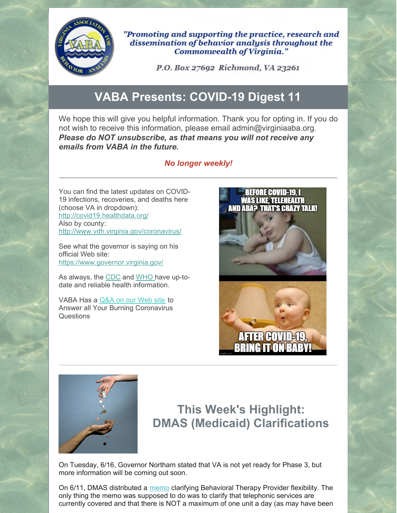

"Promoting and supporting the practice, research and dissemination of behavior analysis throughout the Commonwealth of Virginia."

P.O. Box 27692 Richmond, VA 23261

## **VABA Presents: COVID-19 Digest 11**

We hope this will give you helpful information. Thank you for opting in. If you do not wish to receive this information, please email admin@virginiaaba.org. *Please do NOT unsubscribe, as that means you will not receive any emails from VABA in the future.*

#### *No longer weekly!*

You can find the latest updates on COVID-19 infections, recoveries, and deaths here (choose VA in dropdown): <http://covid19.healthdata.org/> Also by county: <http://www.vdh.virginia.gov/coronavirus/>

See what the governor is saying on his official Web site: <https://www.governor.virginia.gov/>

As always, the [CDC](https://www.cdc.gov/coronavirus/2019-nCoV/index.html) and [WHO](https://www.who.int/emergencies/diseases/novel-coronavirus-2019) have up-todate and reliable health information.

VABA Has a [Q&A](https://www.virginiaaba.org/information-on-covid-19/) on our Web site to Answer all Your Burning Coronavirus Questions





### **This Week's Highlight: DMAS (Medicaid) Clarifications**

On Tuesday, 6/16, Governor Northam stated that VA is not yet ready for Phase 3, but more information will be coming out soon.

On 6/11, DMAS distributed a [memo](https://www.magellancompletecareoffl.com/media/5787/june-11-behavior-therapy-medicaid-memo.pdf) clarifying Behavioral Therapy Provider flexibility. The only thing the memo was supposed to do was to clarify that telephonic services are currently covered and that there is NOT a maximum of one unit a day (as may have been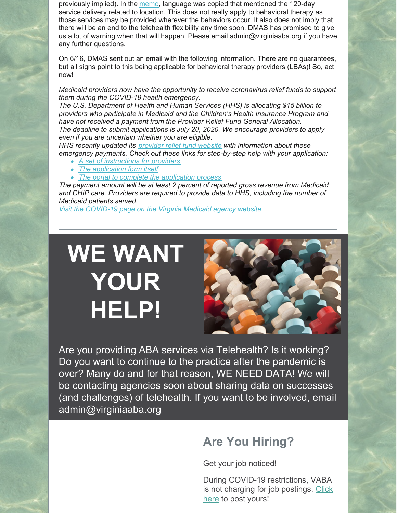previously implied). In the [memo](https://www.magellancompletecareoffl.com/media/5787/june-11-behavior-therapy-medicaid-memo.pdf), language was copied that mentioned the 120-day service delivery related to location. This does not really apply to behavioral therapy as those services may be provided wherever the behaviors occur. It also does not imply that there will be an end to the telehealth flexibility any time soon. DMAS has promised to give us a lot of warning when that will happen. Please email admin@virginiaaba.org if you have any further questions.

On 6/16, DMAS sent out an email with the following information. There are no guarantees, but all signs point to this being applicable for behavioral therapy providers (LBAs)! So, act now!

*Medicaid providers now have the opportunity to receive coronavirus relief funds to support them during the COVID-19 health emergency.*

*The U.S. Department of Health and Human Services (HHS) is allocating \$15 billion to providers who participate in Medicaid and the Children's Health Insurance Program and have not received a payment from the Provider Relief Fund General Allocation. The deadline to submit applications is July 20, 2020. We encourage providers to apply even if you are uncertain whether you are eligible.*

*HHS recently updated its [provider](https://lnks.gd/l/eyJhbGciOiJIUzI1NiJ9.eyJidWxsZXRpbl9saW5rX2lkIjoxMDIsInVyaSI6ImJwMjpjbGljayIsImJ1bGxldGluX2lkIjoiMjAyMDA2MTYuMjMwMTYyNzEiLCJ1cmwiOiJodHRwczovL3d3dy5oaHMuZ292L2Nvcm9uYXZpcnVzL2NhcmVzLWFjdC1wcm92aWRlci1yZWxpZWYtZnVuZC9mb3ItcHJvdmlkZXJzL2luZGV4Lmh0bWw_dXRtX2NhbXBhaWduPWNvdmlkMTkmdXRtX2NvbnRlbnQ9ZWZ1bmRpbmcmdXRtX21lZGl1bT1lbWFpbCZ1dG1fc291cmNlPWdvdmRlbGl2ZXJ5In0.INg5Mx0EsYvgWF4E8M0MSg6ZlDfhdblg5391dUIjTso/s/1119905086/br/79891106539-l) relief fund website with information about these emergency payments. Check out these links for step-by-step help with your application:*

- *A set of [instructions](https://lnks.gd/l/eyJhbGciOiJIUzI1NiJ9.eyJidWxsZXRpbl9saW5rX2lkIjoxMDMsInVyaSI6ImJwMjpjbGljayIsImJ1bGxldGluX2lkIjoiMjAyMDA2MTYuMjMwMTYyNzEiLCJ1cmwiOiJodHRwczovL3d3dy5oaHMuZ292L3NpdGVzL2RlZmF1bHQvZmlsZXMvbWVkaWNhaWQtcHJvdmlkZXItZGlzdHJpYnV0aW9uLWluc3RydWN0aW9ucy5wZGY_dXRtX2NhbXBhaWduPWNvdmlkMTkmdXRtX2NvbnRlbnQ9ZWZ1bmRpbmcmdXRtX21lZGl1bT1lbWFpbCZ1dG1fc291cmNlPWdvdmRlbGl2ZXJ5In0.4jt-c21ZzL9vPIhRawHBpHrgNL3xcXmA6BwBTAsgUWI/s/1119905086/br/79891106539-l) for providers*
- *The [application](https://lnks.gd/l/eyJhbGciOiJIUzI1NiJ9.eyJidWxsZXRpbl9saW5rX2lkIjoxMDQsInVyaSI6ImJwMjpjbGljayIsImJ1bGxldGluX2lkIjoiMjAyMDA2MTYuMjMwMTYyNzEiLCJ1cmwiOiJodHRwczovL3d3dy5oaHMuZ292L3NpdGVzL2RlZmF1bHQvZmlsZXMvbWVkaWNhaWQtcHJvdmlkZXItZGlzdHJpYnV0aW9uLWFwcGxpY2F0aW9uLWZvcm0ucGRmP3V0bV9jYW1wYWlnbj1jb3ZpZDE5JnV0bV9jb250ZW50PWVmdW5kaW5nJnV0bV9tZWRpdW09ZW1haWwmdXRtX3NvdXJjZT1nb3ZkZWxpdmVyeSJ9.sUWJiq49jBbMJyt0nqs7WtZP5RRaKOtwIJbKtpv32ic/s/1119905086/br/79891106539-l) form itself*
- *The portal to complete the [application](https://lnks.gd/l/eyJhbGciOiJIUzI1NiJ9.eyJidWxsZXRpbl9saW5rX2lkIjoxMDUsInVyaSI6ImJwMjpjbGljayIsImJ1bGxldGluX2lkIjoiMjAyMDA2MTYuMjMwMTYyNzEiLCJ1cmwiOiJodHRwczovL2NhcmVzLmxpbmtoZWFsdGguY29tLz91dG1fY2FtcGFpZ249Y292aWQxOSZ1dG1fY29udGVudD1lZnVuZGluZyZ1dG1fbWVkaXVtPWVtYWlsJnV0bV9zb3VyY2U9Z292ZGVsaXZlcnkjLyJ9.cCg_idEt53rxSpInLeEiWA0mQ941nElM_Dvja0tCRHQ/s/1119905086/br/79891106539-l) process*

*The payment amount will be at least 2 percent of reported gross revenue from Medicaid and CHIP care. Providers are required to provide data to HHS, including the number of Medicaid patients served.*

*Visit the [COVID-19](https://lnks.gd/l/eyJhbGciOiJIUzI1NiJ9.eyJidWxsZXRpbl9saW5rX2lkIjoxMDYsInVyaSI6ImJwMjpjbGljayIsImJ1bGxldGluX2lkIjoiMjAyMDA2MTYuMjMwMTYyNzEiLCJ1cmwiOiJodHRwOi8vZG1hcy52aXJnaW5pYS5nb3YvP3V0bV9jYW1wYWlnbj1jb3ZpZDE5JnV0bV9jb250ZW50PWVmdW5kaW5nJnV0bV9tZWRpdW09ZW1haWwmdXRtX3NvdXJjZT1nb3ZkZWxpdmVyeSMvY292aWQifQ.rPAgoos9djo2r_H8KZoUnVttySm8MpiEszb3YzrQ3Ac/s/1119905086/br/79891106539-l) page on the Virginia Medicaid agency website.*

# **WE WANT YOUR HELP!**



Are you providing ABA services via Telehealth? Is it working? Do you want to continue to the practice after the pandemic is over? Many do and for that reason, WE NEED DATA! We will be contacting agencies soon about sharing data on successes (and challenges) of telehealth. If you want to be involved, email admin@virginiaaba.org

### **Are You Hiring?**

Get your job noticed!

During COVID-19 restrictions, VABA is not charging for job [postings.](https://www.virginiaaba.org/product/post-a-job/) Click here to post yours!